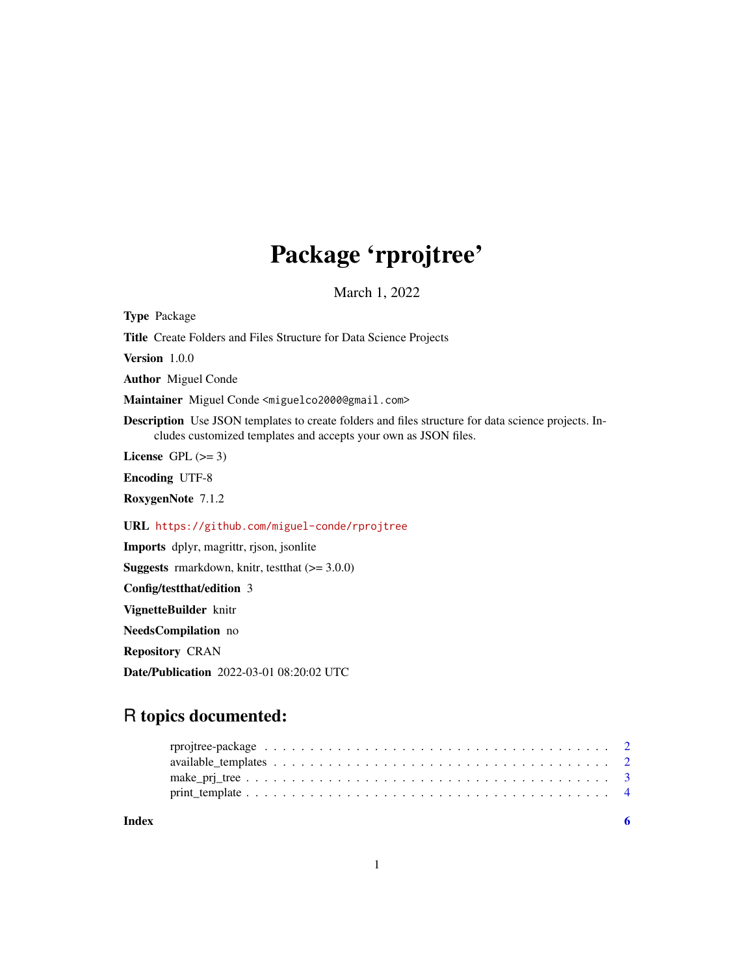## Package 'rprojtree'

March 1, 2022

<span id="page-0-0"></span>Type Package

Title Create Folders and Files Structure for Data Science Projects

Version 1.0.0

Author Miguel Conde

Maintainer Miguel Conde <miguelco2000@gmail.com>

Description Use JSON templates to create folders and files structure for data science projects. Includes customized templates and accepts your own as JSON files.

License GPL  $(>= 3)$ 

Encoding UTF-8

RoxygenNote 7.1.2

URL <https://github.com/miguel-conde/rprojtree>

Imports dplyr, magrittr, rjson, jsonlite

**Suggests** rmarkdown, knitr, test that  $(>= 3.0.0)$ 

Config/testthat/edition 3

VignetteBuilder knitr

NeedsCompilation no

Repository CRAN

Date/Publication 2022-03-01 08:20:02 UTC

## R topics documented:

| Index |  |
|-------|--|
|       |  |
|       |  |
|       |  |
|       |  |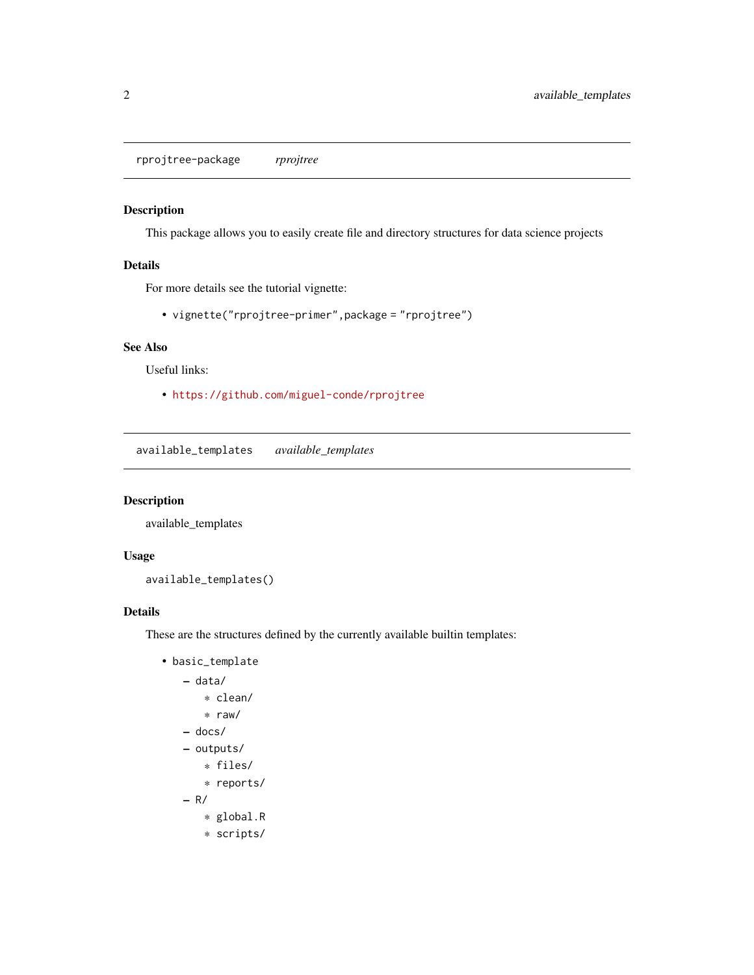<span id="page-1-0"></span>rprojtree-package *rprojtree*

#### Description

This package allows you to easily create file and directory structures for data science projects

#### Details

For more details see the tutorial vignette:

• vignette("rprojtree-primer",package = "rprojtree")

#### See Also

Useful links:

• <https://github.com/miguel-conde/rprojtree>

available\_templates *available\_templates*

#### Description

available\_templates

#### Usage

available\_templates()

#### Details

These are the structures defined by the currently available builtin templates:

```
• basic_template
   – data/
       * clean/
       * raw/
   – docs/
   – outputs/
       * files/
       * reports/
   – R/
       * global.R
       * scripts/
```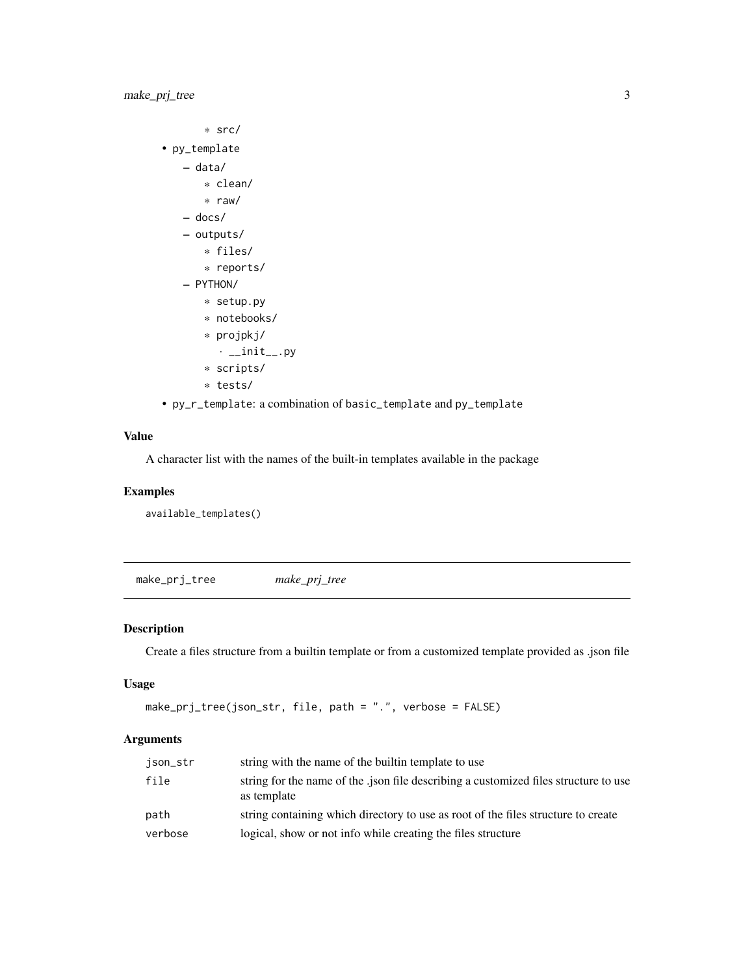```
* src/
• py_template
   – data/
       * clean/
       * raw/
   – docs/
   – outputs/
       * files/
       * reports/
   – PYTHON/
       * setup.py
       * notebooks/
       * projpkj/
         \cdot __init__.py
       * scripts/
       * tests/
```
• py\_r\_template: a combination of basic\_template and py\_template

#### Value

A character list with the names of the built-in templates available in the package

#### Examples

available\_templates()

make\_prj\_tree *make\_prj\_tree*

#### Description

Create a files structure from a builtin template or from a customized template provided as .json file

#### Usage

```
make_prj_tree(json_str, file, path = ".", verbose = FALSE)
```
#### Arguments

| json_str | string with the name of the builtin template to use                                                 |
|----------|-----------------------------------------------------------------------------------------------------|
| file     | string for the name of the .json file describing a customized files structure to use<br>as template |
| path     | string containing which directory to use as root of the files structure to create                   |
| verbose  | logical, show or not info while creating the files structure                                        |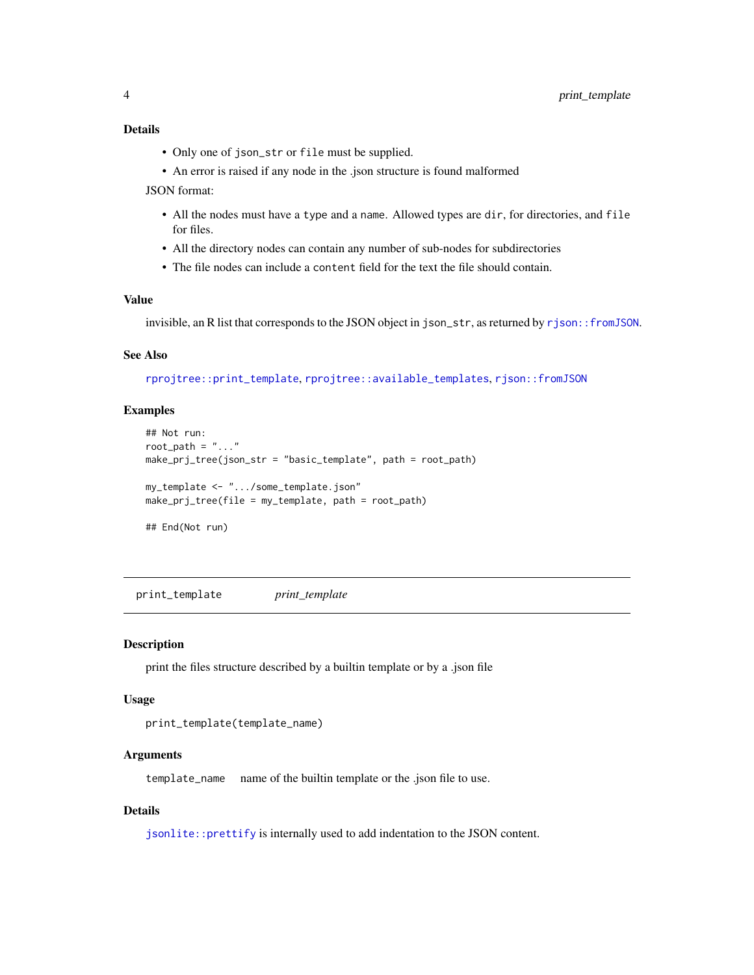#### <span id="page-3-0"></span>Details

- Only one of json\_str or file must be supplied.
- An error is raised if any node in the .json structure is found malformed

JSON format:

- All the nodes must have a type and a name. Allowed types are dir, for directories, and file for files.
- All the directory nodes can contain any number of sub-nodes for subdirectories
- The file nodes can include a content field for the text the file should contain.

#### Value

invisible, an R list that corresponds to the JSON object in json\_str, as returned by [rjson::fromJSON](#page-0-0).

#### See Also

[rprojtree::print\\_template](#page-0-0), [rprojtree::available\\_templates](#page-0-0), [rjson::fromJSON](#page-0-0)

#### Examples

```
## Not run:
root_path = "..."make_prj_tree(json_str = "basic_template", path = root_path)
my_template <- ".../some_template.json"
make_prj_tree(file = my_template, path = root_path)
## End(Not run)
```
print\_template *print\_template*

#### Description

print the files structure described by a builtin template or by a .json file

#### Usage

```
print_template(template_name)
```
#### Arguments

template\_name name of the builtin template or the .json file to use.

#### Details

[jsonlite::prettify](#page-0-0) is internally used to add indentation to the JSON content.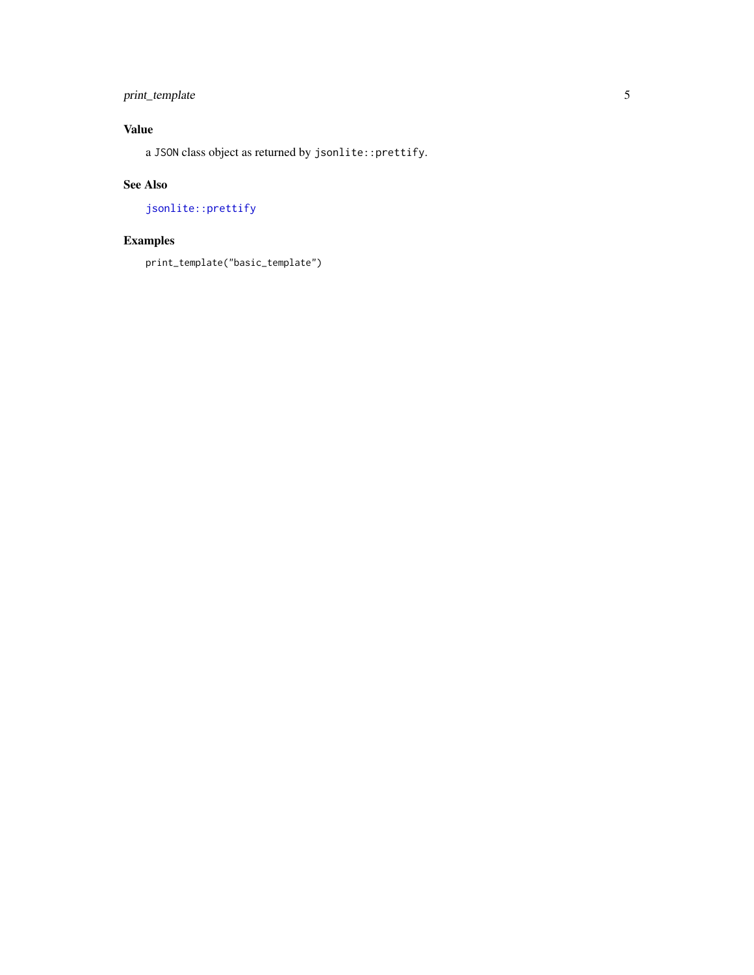### <span id="page-4-0"></span>print\_template 5

#### Value

a JSON class object as returned by jsonlite::prettify.

#### See Also

[jsonlite::prettify](#page-0-0)

## Examples

print\_template("basic\_template")